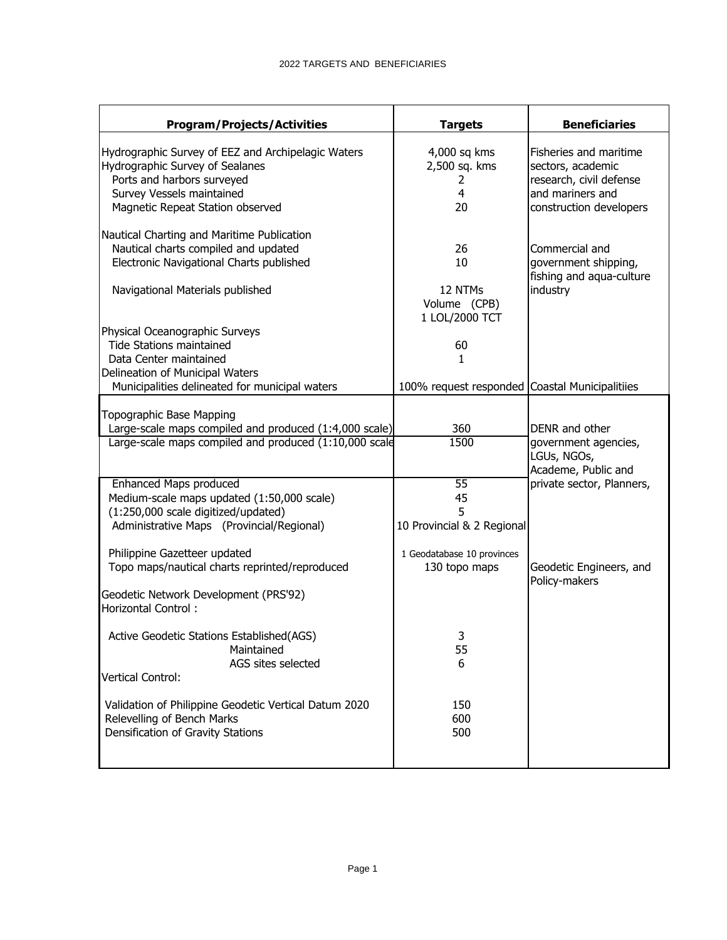| <b>Program/Projects/Activities</b>                                                                                       | <b>Targets</b>                                 | <b>Beneficiaries</b>                                                   |
|--------------------------------------------------------------------------------------------------------------------------|------------------------------------------------|------------------------------------------------------------------------|
| Hydrographic Survey of EEZ and Archipelagic Waters<br>Hydrographic Survey of Sealanes                                    | 4,000 sq kms<br>2,500 sq. kms                  | Fisheries and maritime<br>sectors, academic                            |
| Ports and harbors surveyed<br>Survey Vessels maintained<br>Magnetic Repeat Station observed                              | 2<br>4<br>20                                   | research, civil defense<br>and mariners and<br>construction developers |
| Nautical Charting and Maritime Publication<br>Nautical charts compiled and updated                                       | 26                                             | Commercial and                                                         |
| Electronic Navigational Charts published<br>Navigational Materials published                                             | 10<br>12 NTMs                                  | government shipping,<br>fishing and aqua-culture<br>industry           |
| Physical Oceanographic Surveys                                                                                           | Volume (CPB)<br>1 LOL/2000 TCT                 |                                                                        |
| <b>Tide Stations maintained</b><br>Data Center maintained<br>Delineation of Municipal Waters                             | 60<br>1.                                       |                                                                        |
| Municipalities delineated for municipal waters                                                                           | 100% request responded Coastal Municipalitiies |                                                                        |
| Topographic Base Mapping<br>Large-scale maps compiled and produced (1:4,000 scale)                                       | 360                                            | DENR and other                                                         |
| Large-scale maps compiled and produced (1:10,000 scale                                                                   | 1500                                           | government agencies,<br>LGUs, NGOs,<br>Academe, Public and             |
| Enhanced Maps produced<br>Medium-scale maps updated (1:50,000 scale)<br>(1:250,000 scale digitized/updated)              | $\overline{55}$<br>45<br>5                     | private sector, Planners,                                              |
| Administrative Maps (Provincial/Regional)                                                                                | 10 Provincial & 2 Regional                     |                                                                        |
| Philippine Gazetteer updated<br>Topo maps/nautical charts reprinted/reproduced                                           | 1 Geodatabase 10 provinces<br>130 topo maps    | Geodetic Engineers, and<br>Policy-makers                               |
| Geodetic Network Development (PRS'92)<br>Horizontal Control:                                                             |                                                |                                                                        |
| Active Geodetic Stations Established (AGS)<br>Maintained                                                                 | 3<br>55                                        |                                                                        |
| AGS sites selected<br><b>Vertical Control:</b>                                                                           | 6                                              |                                                                        |
| Validation of Philippine Geodetic Vertical Datum 2020<br>Relevelling of Bench Marks<br>Densification of Gravity Stations | 150<br>600<br>500                              |                                                                        |
|                                                                                                                          |                                                |                                                                        |